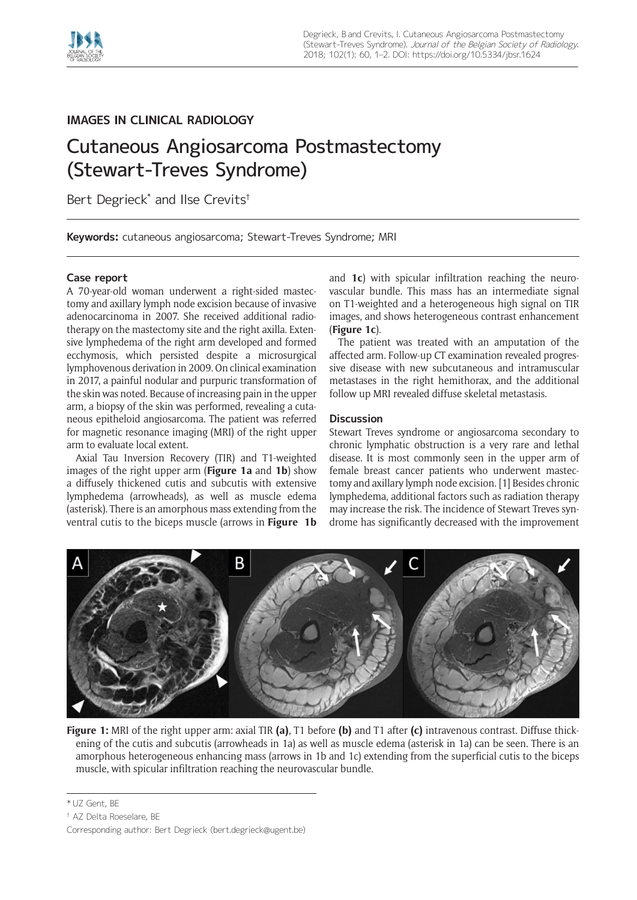

## **IMAGES IN CLINICAL RADIOLOGY**

# Cutaneous Angiosarcoma Postmastectomy (Stewart-Treves Syndrome)

Bert Degrieck\* and Ilse Crevits†

**Keywords:** cutaneous angiosarcoma; Stewart-Treves Syndrome; MRI

### **Case report**

A 70-year-old woman underwent a right-sided mastectomy and axillary lymph node excision because of invasive adenocarcinoma in 2007. She received additional radiotherapy on the mastectomy site and the right axilla. Extensive lymphedema of the right arm developed and formed ecchymosis, which persisted despite a microsurgical lymphovenous derivation in 2009. On clinical examination in 2017, a painful nodular and purpuric transformation of the skin was noted. Because of increasing pain in the upper arm, a biopsy of the skin was performed, revealing a cutaneous epitheloid angiosarcoma. The patient was referred for magnetic resonance imaging (MRI) of the right upper arm to evaluate local extent.

Axial Tau Inversion Recovery (TIR) and T1-weighted images of the right upper arm (**Figure 1a** and **1b**) show a diffusely thickened cutis and subcutis with extensive lymphedema (arrowheads), as well as muscle edema (asterisk). There is an amorphous mass extending from the ventral cutis to the biceps muscle (arrows in **Figure 1b** and **1c**) with spicular infiltration reaching the neurovascular bundle. This mass has an intermediate signal on T1-weighted and a heterogeneous high signal on TIR images, and shows heterogeneous contrast enhancement (**Figure 1c**).

The patient was treated with an amputation of the affected arm. Follow-up CT examination revealed progressive disease with new subcutaneous and intramuscular metastases in the right hemithorax, and the additional follow up MRI revealed diffuse skeletal metastasis.

### **Discussion**

Stewart Treves syndrome or angiosarcoma secondary to chronic lymphatic obstruction is a very rare and lethal disease. It is most commonly seen in the upper arm of female breast cancer patients who underwent mastectomy and axillary lymph node excision. [1] Besides chronic lymphedema, additional factors such as radiation therapy may increase the risk. The incidence of Stewart Treves syndrome has significantly decreased with the improvement



**Figure 1:** MRI of the right upper arm: axial TIR **(a)**, T1 before **(b)** and T1 after **(c)** intravenous contrast. Diffuse thickening of the cutis and subcutis (arrowheads in 1a) as well as muscle edema (asterisk in 1a) can be seen. There is an amorphous heterogeneous enhancing mass (arrows in 1b and 1c) extending from the superficial cutis to the biceps muscle, with spicular infiltration reaching the neurovascular bundle.

<sup>\*</sup> UZ Gent, BE

<sup>†</sup> AZ Delta Roeselare, BE

Corresponding author: Bert Degrieck [\(bert.degrieck@ugent.be\)](mailto:bert.degrieck@ugent.be)